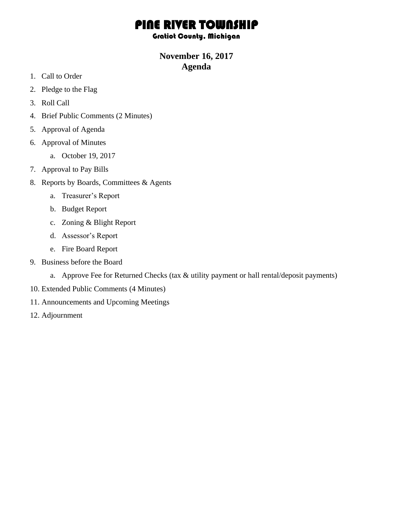# PINE RIVER TOWNSHIP

#### Gratiot County, Michigan

### **November 16, 2017 Agenda**

- 1. Call to Order
- 2. Pledge to the Flag
- 3. Roll Call
- 4. Brief Public Comments (2 Minutes)
- 5. Approval of Agenda
- 6. Approval of Minutes
	- a. October 19, 2017
- 7. Approval to Pay Bills
- 8. Reports by Boards, Committees & Agents
	- a. Treasurer's Report
	- b. Budget Report
	- c. Zoning & Blight Report
	- d. Assessor's Report
	- e. Fire Board Report
- 9. Business before the Board
	- a. Approve Fee for Returned Checks (tax & utility payment or hall rental/deposit payments)
- 10. Extended Public Comments (4 Minutes)
- 11. Announcements and Upcoming Meetings
- 12. Adjournment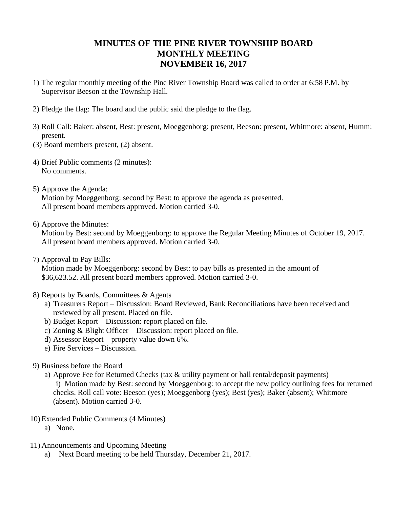## **MINUTES OF THE PINE RIVER TOWNSHIP BOARD MONTHLY MEETING NOVEMBER 16, 2017**

- 1) The regular monthly meeting of the Pine River Township Board was called to order at 6:58 P.M. by Supervisor Beeson at the Township Hall.
- 2) Pledge the flag: The board and the public said the pledge to the flag.
- 3) Roll Call: Baker: absent, Best: present, Moeggenborg: present, Beeson: present, Whitmore: absent, Humm: present.
- (3) Board members present, (2) absent.
- 4) Brief Public comments (2 minutes): No comments.
- 5) Approve the Agenda: Motion by Moeggenborg: second by Best: to approve the agenda as presented. All present board members approved. Motion carried 3-0.
- 6) Approve the Minutes:

Motion by Best: second by Moeggenborg: to approve the Regular Meeting Minutes of October 19, 2017. All present board members approved. Motion carried 3-0.

7) Approval to Pay Bills:

Motion made by Moeggenborg: second by Best: to pay bills as presented in the amount of \$36,623.52. All present board members approved. Motion carried 3-0.

- 8) Reports by Boards, Committees & Agents
	- a) Treasurers Report Discussion: Board Reviewed, Bank Reconciliations have been received and reviewed by all present. Placed on file.
	- b) Budget Report Discussion: report placed on file.
	- c) Zoning & Blight Officer Discussion: report placed on file.
	- d) Assessor Report property value down 6%.
	- e) Fire Services Discussion.
- 9) Business before the Board
	- a) Approve Fee for Returned Checks (tax & utility payment or hall rental/deposit payments)

i) Motion made by Best: second by Moeggenborg: to accept the new policy outlining fees for returned checks. Roll call vote: Beeson (yes); Moeggenborg (yes); Best (yes); Baker (absent); Whitmore (absent). Motion carried 3-0.

- 10) Extended Public Comments (4 Minutes)
	- a) None.
- 11) Announcements and Upcoming Meeting
	- a) Next Board meeting to be held Thursday, December 21, 2017.